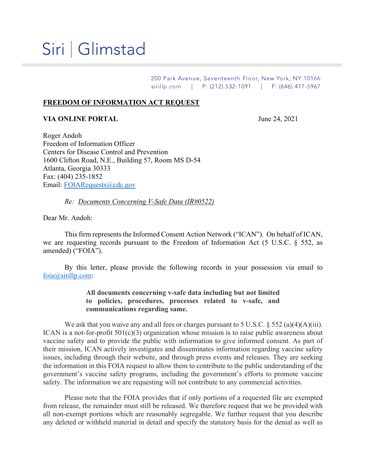## Siri | Glimstad

200 Park Avenue, Seventeenth Floor, New York, NY 10166 sirillp.com | P: (212) 532-1091 | F: (646) 417-5967

## **FREEDOM OF INFORMATION ACT REQUEST**

## **VIA ONLINE PORTAL** June 24, 2021

Roger Andoh Freedom of Information Officer Centers for Disease Control and Prevention 1600 Clifton Road, N.E., Building 57, Room MS D-54 Atlanta, Georgia 30333 Fax: (404) 235-1852 Email: [FOIARequests@cdc.gov](mailto:FOIARequests@cdc.gov)

*Re: Documents Concerning V-Safe Data (IR#0522)*

Dear Mr. Andoh:

This firm represents the Informed Consent Action Network ("ICAN"). On behalf of ICAN, we are requesting records pursuant to the Freedom of Information Act (5 U.S.C. § 552, as amended) ("FOIA").

By this letter, please provide the following records in your possession via email to [foia@sirillp.com:](mailto:foia@sirillp.com)

## **All documents concerning v-safe data including but not limited to policies, procedures, processes related to v-safe, and communications regarding same.**

We ask that you waive any and all fees or charges pursuant to 5 U.S.C.  $\S$  552 (a)(4)(A)(iii). ICAN is a not-for-profit 501(c)(3) organization whose mission is to raise public awareness about vaccine safety and to provide the public with information to give informed consent. As part of their mission, ICAN actively investigates and disseminates information regarding vaccine safety issues, including through their website, and through press events and releases. They are seeking the information in this FOIA request to allow them to contribute to the public understanding of the government's vaccine safety programs, including the government's efforts to promote vaccine safety. The information we are requesting will not contribute to any commercial activities.

Please note that the FOIA provides that if only portions of a requested file are exempted from release, the remainder must still be released. We therefore request that we be provided with all non-exempt portions which are reasonably segregable. We further request that you describe any deleted or withheld material in detail and specify the statutory basis for the denial as well as